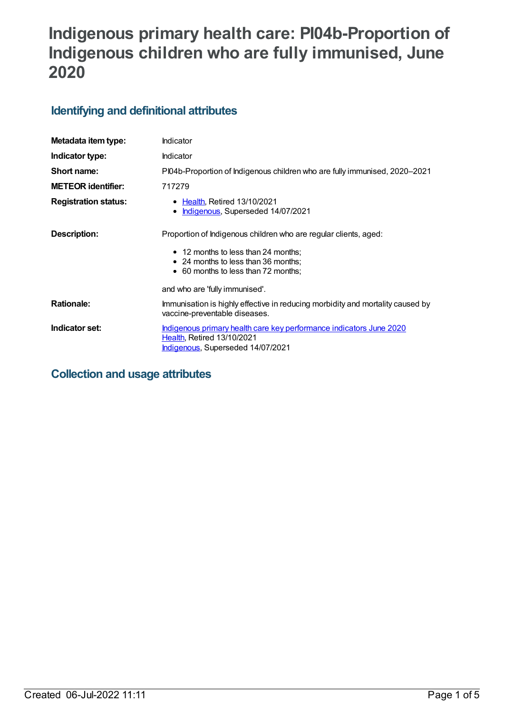# **Indigenous primary health care: PI04b-Proportion of Indigenous children who are fully immunised, June 2020**

## **Identifying and definitional attributes**

| Metadata item type:         | Indicator                                                                                                                                     |
|-----------------------------|-----------------------------------------------------------------------------------------------------------------------------------------------|
| Indicator type:             | Indicator                                                                                                                                     |
| Short name:                 | PI04b-Proportion of Indigenous children who are fully immunised, 2020–2021                                                                    |
| <b>METEOR identifier:</b>   | 717279                                                                                                                                        |
| <b>Registration status:</b> | • Health, Retired 13/10/2021<br>Indigenous, Superseded 14/07/2021<br>٠                                                                        |
| Description:                | Proportion of Indigenous children who are regular clients, aged:                                                                              |
|                             | • 12 months to less than 24 months;<br>• 24 months to less than 36 months;<br>• 60 months to less than 72 months;                             |
|                             | and who are 'fully immunised'.                                                                                                                |
| <b>Rationale:</b>           | Immunisation is highly effective in reducing morbidity and mortality caused by<br>vaccine-preventable diseases.                               |
| Indicator set:              | <u>Indigenous primary health care key performance indicators June 2020</u><br>Health, Retired 13/10/2021<br>Indigenous, Superseded 14/07/2021 |

## **Collection and usage attributes**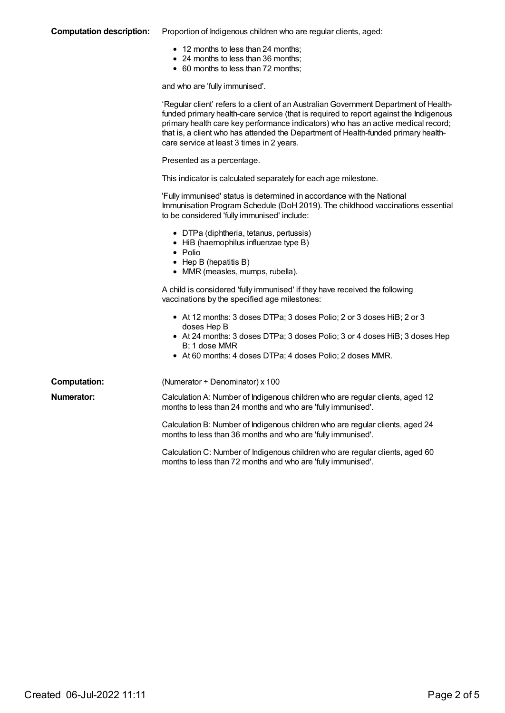### **Computation description:** Proportion of Indigenous children who are regular clients, aged:

- 12 months to less than 24 months;
- 24 months to less than 36 months;
- 60 months to less than 72 months;

and who are 'fully immunised'.

|                     | 'Regular client' refers to a client of an Australian Government Department of Health-<br>funded primary health-care service (that is required to report against the Indigenous<br>primary health care key performance indicators) who has an active medical record;<br>that is, a client who has attended the Department of Health-funded primary health-<br>care service at least 3 times in 2 years. |
|---------------------|--------------------------------------------------------------------------------------------------------------------------------------------------------------------------------------------------------------------------------------------------------------------------------------------------------------------------------------------------------------------------------------------------------|
|                     | Presented as a percentage.                                                                                                                                                                                                                                                                                                                                                                             |
|                     | This indicator is calculated separately for each age milestone.                                                                                                                                                                                                                                                                                                                                        |
|                     | 'Fully immunised' status is determined in accordance with the National<br>Immunisation Program Schedule (DoH 2019). The childhood vaccinations essential<br>to be considered 'fully immunised' include:                                                                                                                                                                                                |
|                     | • DTPa (diphtheria, tetanus, pertussis)<br>• HiB (haemophilus influenzae type B)<br>• Polio<br>$\bullet$ Hep B (hepatitis B)<br>• MMR (measles, mumps, rubella).                                                                                                                                                                                                                                       |
|                     | A child is considered 'fully immunised' if they have received the following<br>vaccinations by the specified age milestones:                                                                                                                                                                                                                                                                           |
|                     | • At 12 months: 3 doses DTPa; 3 doses Polio; 2 or 3 doses HiB; 2 or 3<br>doses Hep B<br>• At 24 months: 3 doses DTPa; 3 doses Polio; 3 or 4 doses HiB; 3 doses Hep<br>B; 1 dose MMR<br>• At 60 months: 4 doses DTPa; 4 doses Polio; 2 doses MMR.                                                                                                                                                       |
| <b>Computation:</b> | (Numerator $\div$ Denominator) x 100                                                                                                                                                                                                                                                                                                                                                                   |
| <b>Numerator:</b>   | Calculation A: Number of Indigenous children who are regular clients, aged 12<br>months to less than 24 months and who are 'fully immunised'.                                                                                                                                                                                                                                                          |
|                     | Calculation B: Number of Indigenous children who are regular clients, aged 24<br>months to less than 36 months and who are 'fully immunised'.                                                                                                                                                                                                                                                          |
|                     | Calculation C: Number of Indigenous children who are regular clients, aged 60<br>months to less than 72 months and who are 'fully immunised'.                                                                                                                                                                                                                                                          |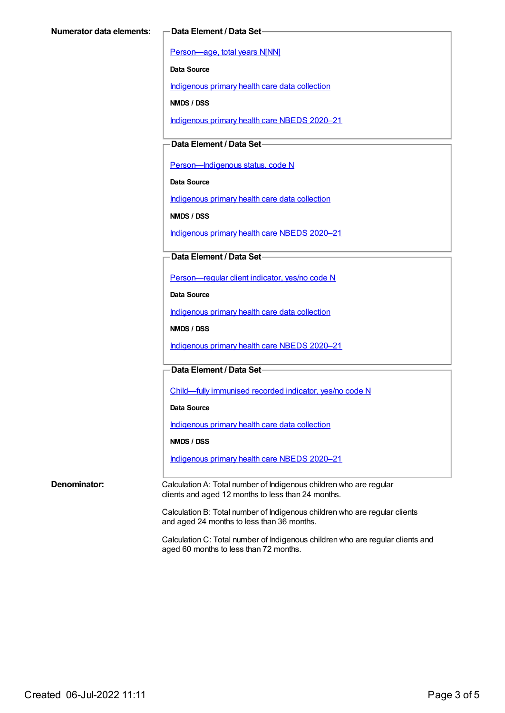[Person—age,](https://meteor.aihw.gov.au/content/303794) total years N[NN]

**Data Source**

[Indigenous](https://meteor.aihw.gov.au/content/430643) primary health care data collection

**NMDS / DSS**

[Indigenous](https://meteor.aihw.gov.au/content/715320) primary health care NBEDS 2020–21

### **Data Element / Data Set**

Person-Indigenous status, code N

**Data Source**

[Indigenous](https://meteor.aihw.gov.au/content/430643) primary health care data collection

**NMDS / DSS**

[Indigenous](https://meteor.aihw.gov.au/content/715320) primary health care NBEDS 2020–21

### **Data Element / Data Set**

[Person—regular](https://meteor.aihw.gov.au/content/686291) client indicator, yes/no code N

**Data Source**

[Indigenous](https://meteor.aihw.gov.au/content/430643) primary health care data collection

**NMDS / DSS**

[Indigenous](https://meteor.aihw.gov.au/content/715320) primary health care NBEDS 2020–21

**Data Element / Data Set**

[Child—fully](https://meteor.aihw.gov.au/content/720830) immunised recorded indicator, yes/no code N

**Data Source**

[Indigenous](https://meteor.aihw.gov.au/content/430643) primary health care data collection

**NMDS / DSS**

[Indigenous](https://meteor.aihw.gov.au/content/715320) primary health care NBEDS 2020–21

**Denominator:** Calculation A: Total number of Indigenous children who are regular clients and aged 12 months to less than 24 months.

> Calculation B: Total number of Indigenous children who are regular clients and aged 24 months to less than 36 months.

Calculation C: Total number of Indigenous children who are regular clients and aged 60 months to less than 72 months.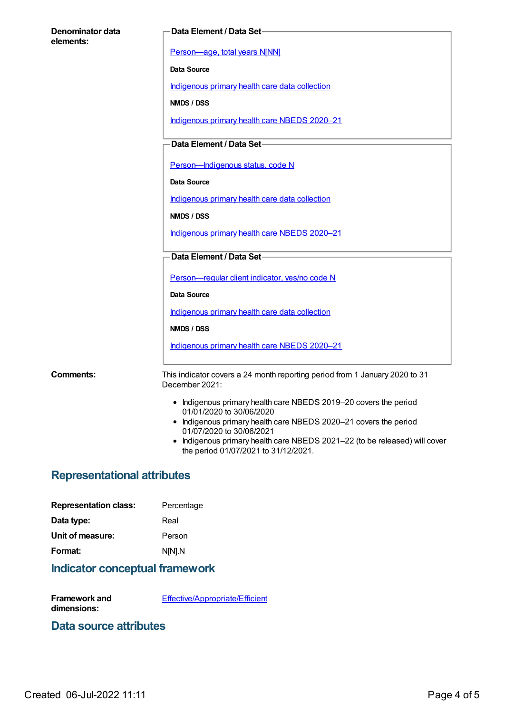| Denominator data<br>elements: | Data Element / Data Set-                                                                                           |
|-------------------------------|--------------------------------------------------------------------------------------------------------------------|
|                               | Person-age, total years N[NN]                                                                                      |
|                               | Data Source                                                                                                        |
|                               | Indigenous primary health care data collection                                                                     |
|                               | NMDS / DSS                                                                                                         |
|                               | Indigenous primary health care NBEDS 2020-21                                                                       |
|                               | Data Element / Data Set-                                                                                           |
|                               | Person-Indigenous status, code N                                                                                   |
|                               | Data Source                                                                                                        |
|                               | Indigenous primary health care data collection                                                                     |
|                               | NMDS / DSS                                                                                                         |
|                               | Indigenous primary health care NBEDS 2020-21                                                                       |
|                               | Data Element / Data Set                                                                                            |
|                               | Person-regular client indicator, yes/no code N                                                                     |
|                               | Data Source                                                                                                        |
|                               | Indigenous primary health care data collection                                                                     |
|                               | NMDS / DSS                                                                                                         |
|                               | Indigenous primary health care NBEDS 2020-21                                                                       |
| <b>Comments:</b>              | This indicator covers a 24 month reporting period from 1 January 2020 to 31<br>December 2021:                      |
|                               | • Indigenous primary health care NBEDS 2019-20 covers the period<br>01/01/2020 to 30/06/2020                       |
|                               | • Indigenous primary health care NBEDS 2020-21 covers the period<br>01/07/2020 to 30/06/2021                       |
|                               | • Indigenous primary health care NBEDS 2021-22 (to be released) will cover<br>the period 01/07/2021 to 31/12/2021. |

# **Representational attributes**

| <b>Representation class:</b> | Percentage |
|------------------------------|------------|
| Data type:                   | Real       |
| Unit of measure:             | Person     |
| Format:                      | N[N].N     |

# **Indicator conceptual framework**

| Framework and | Effective/Appropriate/Efficient |
|---------------|---------------------------------|
| dimensions:   |                                 |

## **Data source attributes**